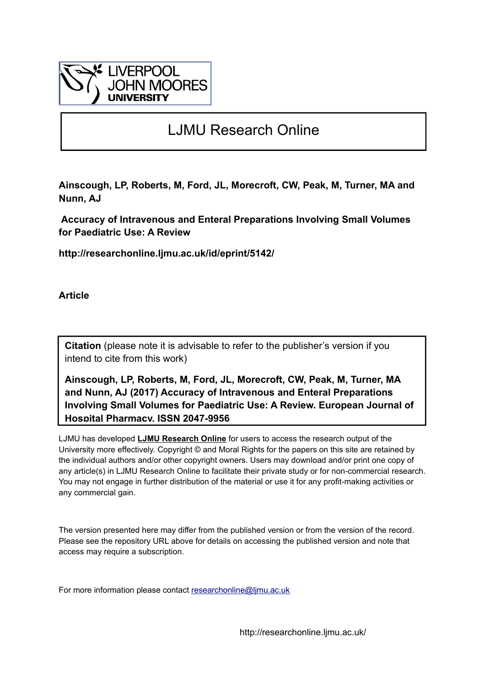

# LJMU Research Online

**Ainscough, LP, Roberts, M, Ford, JL, Morecroft, CW, Peak, M, Turner, MA and Nunn, AJ**

 **Accuracy of Intravenous and Enteral Preparations Involving Small Volumes for Paediatric Use: A Review**

**http://researchonline.ljmu.ac.uk/id/eprint/5142/**

**Article**

**Citation** (please note it is advisable to refer to the publisher's version if you intend to cite from this work)

**Ainscough, LP, Roberts, M, Ford, JL, Morecroft, CW, Peak, M, Turner, MA and Nunn, AJ (2017) Accuracy of Intravenous and Enteral Preparations Involving Small Volumes for Paediatric Use: A Review. European Journal of Hospital Pharmacy. ISSN 2047-9956** 

LJMU has developed **[LJMU Research Online](http://researchonline.ljmu.ac.uk/)** for users to access the research output of the University more effectively. Copyright © and Moral Rights for the papers on this site are retained by the individual authors and/or other copyright owners. Users may download and/or print one copy of any article(s) in LJMU Research Online to facilitate their private study or for non-commercial research. You may not engage in further distribution of the material or use it for any profit-making activities or any commercial gain.

The version presented here may differ from the published version or from the version of the record. Please see the repository URL above for details on accessing the published version and note that access may require a subscription.

For more information please contact researchonline@limu.ac.uk

http://researchonline.ljmu.ac.uk/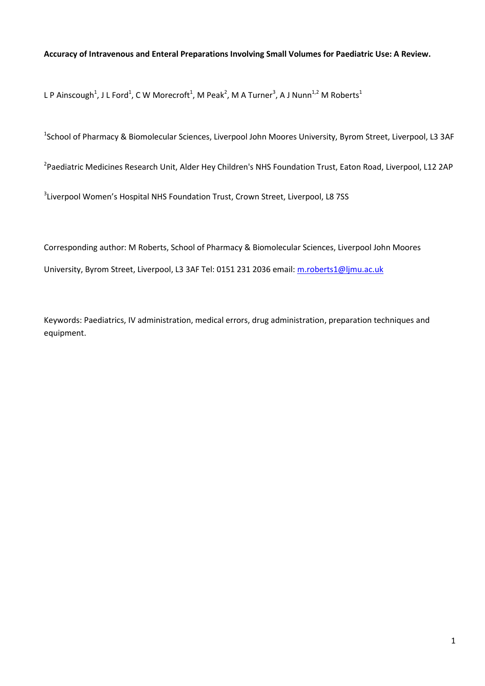#### **Accuracy of Intravenous and Enteral Preparations Involving Small Volumes for Paediatric Use: A Review.**

L P Ainscough<sup>1</sup>, J L Ford<sup>1</sup>, C W Morecroft<sup>1</sup>, M Peak<sup>2</sup>, M A Turner<sup>3</sup>, A J Nunn<sup>1,2</sup> M Roberts<sup>1</sup>

<sup>1</sup>School of Pharmacy & Biomolecular Sciences, Liverpool John Moores University, Byrom Street, Liverpool, L3 3AF

<sup>2</sup>Paediatric Medicines Research Unit, Alder Hey Children's NHS Foundation Trust, Eaton Road, Liverpool, L12 2AP

<sup>3</sup>Liverpool Women's Hospital NHS Foundation Trust, Crown Street, Liverpool, L8 7SS

Corresponding author: M Roberts, School of Pharmacy & Biomolecular Sciences, Liverpool John Moores University, Byrom Street, Liverpool, L3 3AF Tel: 0151 231 2036 email: [m.roberts1@ljmu.ac.uk](mailto:m.roberts1@ljmu.ac.uk)

Keywords: Paediatrics, IV administration, medical errors, drug administration, preparation techniques and equipment.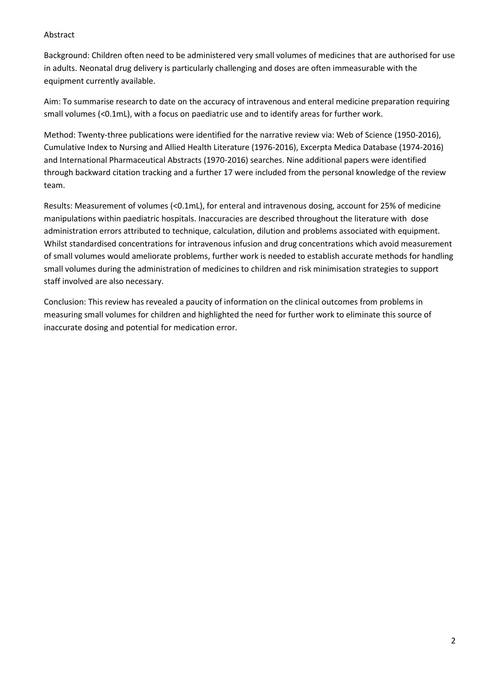#### Abstract

Background: Children often need to be administered very small volumes of medicines that are authorised for use in adults. Neonatal drug delivery is particularly challenging and doses are often immeasurable with the equipment currently available.

Aim: To summarise research to date on the accuracy of intravenous and enteral medicine preparation requiring small volumes (<0.1mL), with a focus on paediatric use and to identify areas for further work.

Method: Twenty-three publications were identified for the narrative review via: Web of Science (1950-2016), Cumulative Index to Nursing and Allied Health Literature (1976-2016), Excerpta Medica Database (1974-2016) and International Pharmaceutical Abstracts (1970-2016) searches. Nine additional papers were identified through backward citation tracking and a further 17 were included from the personal knowledge of the review team.

Results: Measurement of volumes (<0.1mL), for enteral and intravenous dosing, account for 25% of medicine manipulations within paediatric hospitals. Inaccuracies are described throughout the literature with dose administration errors attributed to technique, calculation, dilution and problems associated with equipment. Whilst standardised concentrations for intravenous infusion and drug concentrations which avoid measurement of small volumes would ameliorate problems, further work is needed to establish accurate methods for handling small volumes during the administration of medicines to children and risk minimisation strategies to support staff involved are also necessary.

Conclusion: This review has revealed a paucity of information on the clinical outcomes from problems in measuring small volumes for children and highlighted the need for further work to eliminate this source of inaccurate dosing and potential for medication error.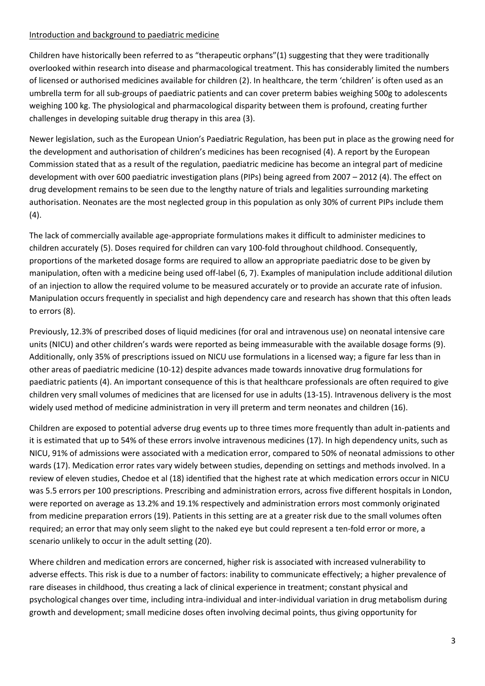#### Introduction and background to paediatric medicine

Children have historically been referred to as "therapeutic orphans"(1) suggesting that they were traditionally overlooked within research into disease and pharmacological treatment. This has considerably limited the numbers of licensed or authorised medicines available for children (2). In healthcare, the term 'children' is often used as an umbrella term for all sub-groups of paediatric patients and can cover preterm babies weighing 500g to adolescents weighing 100 kg. The physiological and pharmacological disparity between them is profound, creating further challenges in developing suitable drug therapy in this area (3).

Newer legislation, such as the European Union's Paediatric Regulation, has been put in place as the growing need for the development and authorisation of children's medicines has been recognised (4). A report by the European Commission stated that as a result of the regulation, paediatric medicine has become an integral part of medicine development with over 600 paediatric investigation plans (PIPs) being agreed from 2007 – 2012 (4). The effect on drug development remains to be seen due to the lengthy nature of trials and legalities surrounding marketing authorisation. Neonates are the most neglected group in this population as only 30% of current PIPs include them  $(4).$ 

The lack of commercially available age-appropriate formulations makes it difficult to administer medicines to children accurately (5). Doses required for children can vary 100-fold throughout childhood. Consequently, proportions of the marketed dosage forms are required to allow an appropriate paediatric dose to be given by manipulation, often with a medicine being used off-label (6, 7). Examples of manipulation include additional dilution of an injection to allow the required volume to be measured accurately or to provide an accurate rate of infusion. Manipulation occurs frequently in specialist and high dependency care and research has shown that this often leads to errors (8).

Previously, 12.3% of prescribed doses of liquid medicines (for oral and intravenous use) on neonatal intensive care units (NICU) and other children's wards were reported as being immeasurable with the available dosage forms (9). Additionally, only 35% of prescriptions issued on NICU use formulations in a licensed way; a figure far less than in other areas of paediatric medicine (10-12) despite advances made towards innovative drug formulations for paediatric patients (4). An important consequence of this is that healthcare professionals are often required to give children very small volumes of medicines that are licensed for use in adults (13-15). Intravenous delivery is the most widely used method of medicine administration in very ill preterm and term neonates and children (16).

Children are exposed to potential adverse drug events up to three times more frequently than adult in-patients and it is estimated that up to 54% of these errors involve intravenous medicines (17). In high dependency units, such as NICU, 91% of admissions were associated with a medication error, compared to 50% of neonatal admissions to other wards (17). Medication error rates vary widely between studies, depending on settings and methods involved. In a review of eleven studies, Chedoe et al (18) identified that the highest rate at which medication errors occur in NICU was 5.5 errors per 100 prescriptions. Prescribing and administration errors, across five different hospitals in London, were reported on average as 13.2% and 19.1% respectively and administration errors most commonly originated from medicine preparation errors (19). Patients in this setting are at a greater risk due to the small volumes often required; an error that may only seem slight to the naked eye but could represent a ten-fold error or more, a scenario unlikely to occur in the adult setting (20).

Where children and medication errors are concerned, higher risk is associated with increased vulnerability to adverse effects. This risk is due to a number of factors: inability to communicate effectively; a higher prevalence of rare diseases in childhood, thus creating a lack of clinical experience in treatment; constant physical and psychological changes over time, including intra-individual and inter-individual variation in drug metabolism during growth and development; small medicine doses often involving decimal points, thus giving opportunity for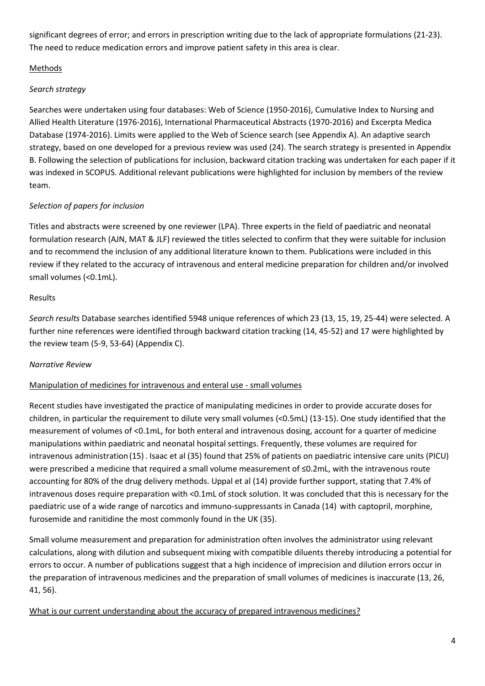significant degrees of error; and errors in prescription writing due to the lack of appropriate formulations (21-23). The need to reduce medication errors and improve patient safety in this area is clear.

# Methods

# *Search strategy*

Searches were undertaken using four databases: Web of Science (1950-2016), Cumulative Index to Nursing and Allied Health Literature (1976-2016), International Pharmaceutical Abstracts (1970-2016) and Excerpta Medica Database (1974-2016). Limits were applied to the Web of Science search (see Appendix A). An adaptive search strategy, based on one developed for a previous review was used (24). The search strategy is presented in Appendix B. Following the selection of publications for inclusion, backward citation tracking was undertaken for each paper if it was indexed in SCOPUS. Additional relevant publications were highlighted for inclusion by members of the review team.

# *Selection of papers for inclusion*

Titles and abstracts were screened by one reviewer (LPA). Three experts in the field of paediatric and neonatal formulation research (AJN, MAT & JLF) reviewed the titles selected to confirm that they were suitable for inclusion and to recommend the inclusion of any additional literature known to them. Publications were included in this review if they related to the accuracy of intravenous and enteral medicine preparation for children and/or involved small volumes (<0.1mL).

# Results

*Search results* Database searches identified 5948 unique references of which 23 (13, 15, 19, 25-44) were selected. A further nine references were identified through backward citation tracking (14, 45-52) and 17 were highlighted by the review team (5-9, 53-64) (Appendix C).

# *Narrative Review*

# Manipulation of medicines for intravenous and enteral use - small volumes

Recent studies have investigated the practice of manipulating medicines in order to provide accurate doses for children, in particular the requirement to dilute very small volumes (<0.5mL) (13-15). One study identified that the measurement of volumes of <0.1mL, for both enteral and intravenous dosing, account for a quarter of medicine manipulations within paediatric and neonatal hospital settings. Frequently, these volumes are required for intravenous administration(15). Isaac et al (35) found that 25% of patients on paediatric intensive care units (PICU) were prescribed a medicine that required a small volume measurement of ≤0.2mL, with the intravenous route accounting for 80% of the drug delivery methods. Uppal et al (14) provide further support, stating that 7.4% of intravenous doses require preparation with <0.1mL of stock solution. It was concluded that this is necessary for the paediatric use of a wide range of narcotics and immuno-suppressants in Canada (14) with captopril, morphine, furosemide and ranitidine the most commonly found in the UK (35).

Small volume measurement and preparation for administration often involves the administrator using relevant calculations, along with dilution and subsequent mixing with compatible diluents thereby introducing a potential for errors to occur. A number of publications suggest that a high incidence of imprecision and dilution errors occur in the preparation of intravenous medicines and the preparation of small volumes of medicines is inaccurate (13, 26, 41, 56).

# What is our current understanding about the accuracy of prepared intravenous medicines?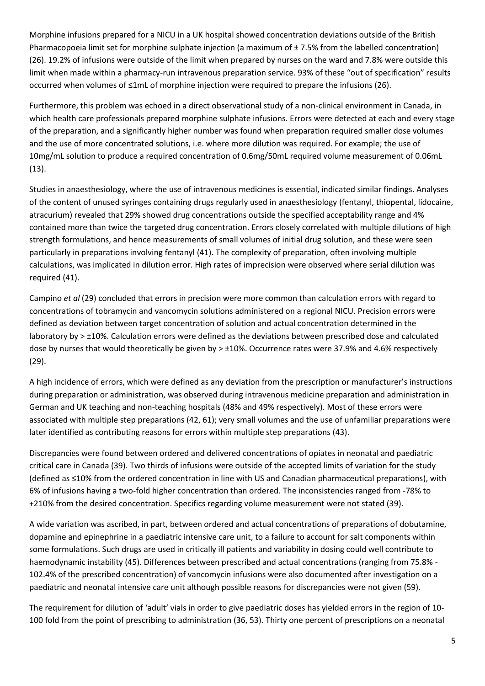Morphine infusions prepared for a NICU in a UK hospital showed concentration deviations outside of the British Pharmacopoeia limit set for morphine sulphate injection (a maximum of ± 7.5% from the labelled concentration) (26). 19.2% of infusions were outside of the limit when prepared by nurses on the ward and 7.8% were outside this limit when made within a pharmacy-run intravenous preparation service. 93% of these "out of specification" results occurred when volumes of ≤1mL of morphine injection were required to prepare the infusions (26).

Furthermore, this problem was echoed in a direct observational study of a non-clinical environment in Canada, in which health care professionals prepared morphine sulphate infusions. Errors were detected at each and every stage of the preparation, and a significantly higher number was found when preparation required smaller dose volumes and the use of more concentrated solutions, i.e. where more dilution was required. For example; the use of 10mg/mL solution to produce a required concentration of 0.6mg/50mL required volume measurement of 0.06mL (13).

Studies in anaesthesiology, where the use of intravenous medicines is essential, indicated similar findings. Analyses of the content of unused syringes containing drugs regularly used in anaesthesiology (fentanyl, thiopental, lidocaine, atracurium) revealed that 29% showed drug concentrations outside the specified acceptability range and 4% contained more than twice the targeted drug concentration. Errors closely correlated with multiple dilutions of high strength formulations, and hence measurements of small volumes of initial drug solution, and these were seen particularly in preparations involving fentanyl (41). The complexity of preparation, often involving multiple calculations, was implicated in dilution error. High rates of imprecision were observed where serial dilution was required (41).

Campino *et al* (29) concluded that errors in precision were more common than calculation errors with regard to concentrations of tobramycin and vancomycin solutions administered on a regional NICU. Precision errors were defined as deviation between target concentration of solution and actual concentration determined in the laboratory by > ±10%. Calculation errors were defined as the deviations between prescribed dose and calculated dose by nurses that would theoretically be given by > ±10%. Occurrence rates were 37.9% and 4.6% respectively (29).

A high incidence of errors, which were defined as any deviation from the prescription or manufacturer's instructions during preparation or administration, was observed during intravenous medicine preparation and administration in German and UK teaching and non-teaching hospitals (48% and 49% respectively). Most of these errors were associated with multiple step preparations (42, 61); very small volumes and the use of unfamiliar preparations were later identified as contributing reasons for errors within multiple step preparations (43).

Discrepancies were found between ordered and delivered concentrations of opiates in neonatal and paediatric critical care in Canada (39). Two thirds of infusions were outside of the accepted limits of variation for the study (defined as ≤10% from the ordered concentration in line with US and Canadian pharmaceutical preparations), with 6% of infusions having a two-fold higher concentration than ordered. The inconsistencies ranged from -78% to +210% from the desired concentration. Specifics regarding volume measurement were not stated (39).

A wide variation was ascribed, in part, between ordered and actual concentrations of preparations of dobutamine, dopamine and epinephrine in a paediatric intensive care unit, to a failure to account for salt components within some formulations. Such drugs are used in critically ill patients and variability in dosing could well contribute to haemodynamic instability (45). Differences between prescribed and actual concentrations (ranging from 75.8% - 102.4% of the prescribed concentration) of vancomycin infusions were also documented after investigation on a paediatric and neonatal intensive care unit although possible reasons for discrepancies were not given (59).

The requirement for dilution of 'adult' vials in order to give paediatric doses has yielded errors in the region of 10- 100 fold from the point of prescribing to administration (36, 53). Thirty one percent of prescriptions on a neonatal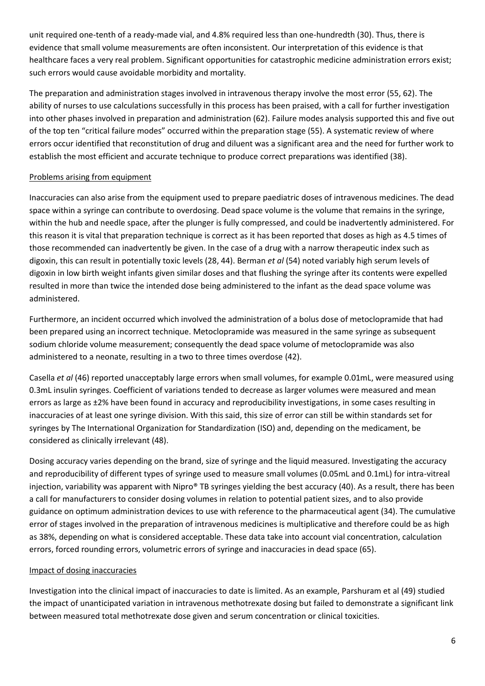unit required one-tenth of a ready-made vial, and 4.8% required less than one-hundredth (30). Thus, there is evidence that small volume measurements are often inconsistent. Our interpretation of this evidence is that healthcare faces a very real problem. Significant opportunities for catastrophic medicine administration errors exist; such errors would cause avoidable morbidity and mortality.

The preparation and administration stages involved in intravenous therapy involve the most error (55, 62). The ability of nurses to use calculations successfully in this process has been praised, with a call for further investigation into other phases involved in preparation and administration (62). Failure modes analysis supported this and five out of the top ten "critical failure modes" occurred within the preparation stage (55). A systematic review of where errors occur identified that reconstitution of drug and diluent was a significant area and the need for further work to establish the most efficient and accurate technique to produce correct preparations was identified (38).

## Problems arising from equipment

Inaccuracies can also arise from the equipment used to prepare paediatric doses of intravenous medicines. The dead space within a syringe can contribute to overdosing. Dead space volume is the volume that remains in the syringe, within the hub and needle space, after the plunger is fully compressed, and could be inadvertently administered. For this reason it is vital that preparation technique is correct as it has been reported that doses as high as 4.5 times of those recommended can inadvertently be given. In the case of a drug with a narrow therapeutic index such as digoxin, this can result in potentially toxic levels (28, 44). Berman *et al* (54) noted variably high serum levels of digoxin in low birth weight infants given similar doses and that flushing the syringe after its contents were expelled resulted in more than twice the intended dose being administered to the infant as the dead space volume was administered.

Furthermore, an incident occurred which involved the administration of a bolus dose of metoclopramide that had been prepared using an incorrect technique. Metoclopramide was measured in the same syringe as subsequent sodium chloride volume measurement; consequently the dead space volume of metoclopramide was also administered to a neonate, resulting in a two to three times overdose (42).

Casella *et al* (46) reported unacceptably large errors when small volumes, for example 0.01mL, were measured using 0.3mL insulin syringes. Coefficient of variations tended to decrease as larger volumes were measured and mean errors as large as ±2% have been found in accuracy and reproducibility investigations, in some cases resulting in inaccuracies of at least one syringe division. With this said, this size of error can still be within standards set for syringes by The International Organization for Standardization (ISO) and, depending on the medicament, be considered as clinically irrelevant (48).

Dosing accuracy varies depending on the brand, size of syringe and the liquid measured. Investigating the accuracy and reproducibility of different types of syringe used to measure small volumes (0.05mL and 0.1mL) for intra-vitreal injection, variability was apparent with Nipro<sup>®</sup> TB syringes yielding the best accuracy (40). As a result, there has been a call for manufacturers to consider dosing volumes in relation to potential patient sizes, and to also provide guidance on optimum administration devices to use with reference to the pharmaceutical agent (34). The cumulative error of stages involved in the preparation of intravenous medicines is multiplicative and therefore could be as high as 38%, depending on what is considered acceptable. These data take into account vial concentration, calculation errors, forced rounding errors, volumetric errors of syringe and inaccuracies in dead space (65).

# Impact of dosing inaccuracies

Investigation into the clinical impact of inaccuracies to date is limited. As an example, Parshuram et al (49) studied the impact of unanticipated variation in intravenous methotrexate dosing but failed to demonstrate a significant link between measured total methotrexate dose given and serum concentration or clinical toxicities.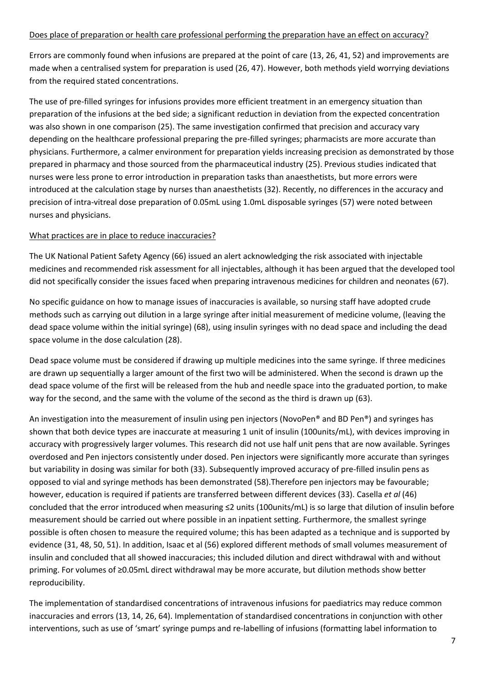#### Does place of preparation or health care professional performing the preparation have an effect on accuracy?

Errors are commonly found when infusions are prepared at the point of care (13, 26, 41, 52) and improvements are made when a centralised system for preparation is used (26, 47). However, both methods yield worrying deviations from the required stated concentrations.

The use of pre-filled syringes for infusions provides more efficient treatment in an emergency situation than preparation of the infusions at the bed side; a significant reduction in deviation from the expected concentration was also shown in one comparison (25). The same investigation confirmed that precision and accuracy vary depending on the healthcare professional preparing the pre-filled syringes; pharmacists are more accurate than physicians. Furthermore, a calmer environment for preparation yields increasing precision as demonstrated by those prepared in pharmacy and those sourced from the pharmaceutical industry (25). Previous studies indicated that nurses were less prone to error introduction in preparation tasks than anaesthetists, but more errors were introduced at the calculation stage by nurses than anaesthetists (32). Recently, no differences in the accuracy and precision of intra-vitreal dose preparation of 0.05mL using 1.0mL disposable syringes (57) were noted between nurses and physicians.

#### What practices are in place to reduce inaccuracies?

The UK National Patient Safety Agency (66) issued an alert acknowledging the risk associated with injectable medicines and recommended risk assessment for all injectables, although it has been argued that the developed tool did not specifically consider the issues faced when preparing intravenous medicines for children and neonates (67).

No specific guidance on how to manage issues of inaccuracies is available, so nursing staff have adopted crude methods such as carrying out dilution in a large syringe after initial measurement of medicine volume, (leaving the dead space volume within the initial syringe) (68), using insulin syringes with no dead space and including the dead space volume in the dose calculation (28).

Dead space volume must be considered if drawing up multiple medicines into the same syringe. If three medicines are drawn up sequentially a larger amount of the first two will be administered. When the second is drawn up the dead space volume of the first will be released from the hub and needle space into the graduated portion, to make way for the second, and the same with the volume of the second as the third is drawn up (63).

An investigation into the measurement of insulin using pen injectors (NovoPen® and BD Pen®) and syringes has shown that both device types are inaccurate at measuring 1 unit of insulin (100units/mL), with devices improving in accuracy with progressively larger volumes. This research did not use half unit pens that are now available. Syringes overdosed and Pen injectors consistently under dosed. Pen injectors were significantly more accurate than syringes but variability in dosing was similar for both (33). Subsequently improved accuracy of pre-filled insulin pens as opposed to vial and syringe methods has been demonstrated (58).Therefore pen injectors may be favourable; however, education is required if patients are transferred between different devices (33). Casella *et al* (46) concluded that the error introduced when measuring ≤2 units (100units/mL) is so large that dilution of insulin before measurement should be carried out where possible in an inpatient setting. Furthermore, the smallest syringe possible is often chosen to measure the required volume; this has been adapted as a technique and is supported by evidence (31, 48, 50, 51). In addition, Isaac et al (56) explored different methods of small volumes measurement of insulin and concluded that all showed inaccuracies; this included dilution and direct withdrawal with and without priming. For volumes of ≥0.05mL direct withdrawal may be more accurate, but dilution methods show better reproducibility.

The implementation of standardised concentrations of intravenous infusions for paediatrics may reduce common inaccuracies and errors (13, 14, 26, 64). Implementation of standardised concentrations in conjunction with other interventions, such as use of 'smart' syringe pumps and re-labelling of infusions (formatting label information to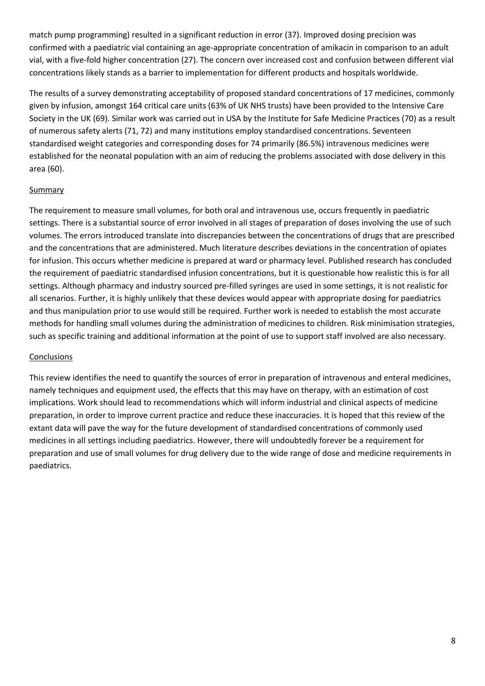match pump programming) resulted in a significant reduction in error (37). Improved dosing precision was confirmed with a paediatric vial containing an age-appropriate concentration of amikacin in comparison to an adult vial, with a five-fold higher concentration (27). The concern over increased cost and confusion between different vial concentrations likely stands as a barrier to implementation for different products and hospitals worldwide.

The results of a survey demonstrating acceptability of proposed standard concentrations of 17 medicines, commonly given by infusion, amongst 164 critical care units (63% of UK NHS trusts) have been provided to the Intensive Care Society in the UK (69). Similar work was carried out in USA by the Institute for Safe Medicine Practices (70) as a result of numerous safety alerts (71, 72) and many institutions employ standardised concentrations. Seventeen standardised weight categories and corresponding doses for 74 primarily (86.5%) intravenous medicines were established for the neonatal population with an aim of reducing the problems associated with dose delivery in this area (60).

#### **Summary**

The requirement to measure small volumes, for both oral and intravenous use, occurs frequently in paediatric settings. There is a substantial source of error involved in all stages of preparation of doses involving the use of such volumes. The errors introduced translate into discrepancies between the concentrations of drugs that are prescribed and the concentrations that are administered. Much literature describes deviations in the concentration of opiates for infusion. This occurs whether medicine is prepared at ward or pharmacy level. Published research has concluded the requirement of paediatric standardised infusion concentrations, but it is questionable how realistic this is for all settings. Although pharmacy and industry sourced pre-filled syringes are used in some settings, it is not realistic for all scenarios. Further, it is highly unlikely that these devices would appear with appropriate dosing for paediatrics and thus manipulation prior to use would still be required. Further work is needed to establish the most accurate methods for handling small volumes during the administration of medicines to children. Risk minimisation strategies, such as specific training and additional information at the point of use to support staff involved are also necessary.

#### Conclusions

This review identifies the need to quantify the sources of error in preparation of intravenous and enteral medicines, namely techniques and equipment used, the effects that this may have on therapy, with an estimation of cost implications. Work should lead to recommendations which will inform industrial and clinical aspects of medicine preparation, in order to improve current practice and reduce these inaccuracies. It is hoped that this review of the extant data will pave the way for the future development of standardised concentrations of commonly used medicines in all settings including paediatrics. However, there will undoubtedly forever be a requirement for preparation and use of small volumes for drug delivery due to the wide range of dose and medicine requirements in paediatrics.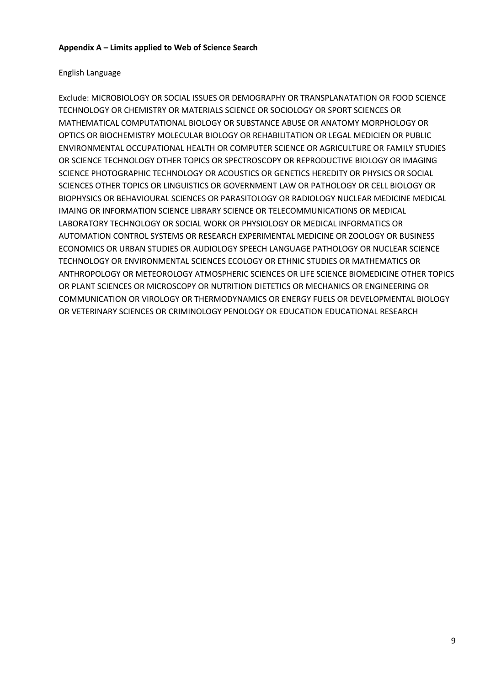### English Language

Exclude: MICROBIOLOGY OR SOCIAL ISSUES OR DEMOGRAPHY OR TRANSPLANATATION OR FOOD SCIENCE TECHNOLOGY OR CHEMISTRY OR MATERIALS SCIENCE OR SOCIOLOGY OR SPORT SCIENCES OR MATHEMATICAL COMPUTATIONAL BIOLOGY OR SUBSTANCE ABUSE OR ANATOMY MORPHOLOGY OR OPTICS OR BIOCHEMISTRY MOLECULAR BIOLOGY OR REHABILITATION OR LEGAL MEDICIEN OR PUBLIC ENVIRONMENTAL OCCUPATIONAL HEALTH OR COMPUTER SCIENCE OR AGRICULTURE OR FAMILY STUDIES OR SCIENCE TECHNOLOGY OTHER TOPICS OR SPECTROSCOPY OR REPRODUCTIVE BIOLOGY OR IMAGING SCIENCE PHOTOGRAPHIC TECHNOLOGY OR ACOUSTICS OR GENETICS HEREDITY OR PHYSICS OR SOCIAL SCIENCES OTHER TOPICS OR LINGUISTICS OR GOVERNMENT LAW OR PATHOLOGY OR CELL BIOLOGY OR BIOPHYSICS OR BEHAVIOURAL SCIENCES OR PARASITOLOGY OR RADIOLOGY NUCLEAR MEDICINE MEDICAL IMAING OR INFORMATION SCIENCE LIBRARY SCIENCE OR TELECOMMUNICATIONS OR MEDICAL LABORATORY TECHNOLOGY OR SOCIAL WORK OR PHYSIOLOGY OR MEDICAL INFORMATICS OR AUTOMATION CONTROL SYSTEMS OR RESEARCH EXPERIMENTAL MEDICINE OR ZOOLOGY OR BUSINESS ECONOMICS OR URBAN STUDIES OR AUDIOLOGY SPEECH LANGUAGE PATHOLOGY OR NUCLEAR SCIENCE TECHNOLOGY OR ENVIRONMENTAL SCIENCES ECOLOGY OR ETHNIC STUDIES OR MATHEMATICS OR ANTHROPOLOGY OR METEOROLOGY ATMOSPHERIC SCIENCES OR LIFE SCIENCE BIOMEDICINE OTHER TOPICS OR PLANT SCIENCES OR MICROSCOPY OR NUTRITION DIETETICS OR MECHANICS OR ENGINEERING OR COMMUNICATION OR VIROLOGY OR THERMODYNAMICS OR ENERGY FUELS OR DEVELOPMENTAL BIOLOGY OR VETERINARY SCIENCES OR CRIMINOLOGY PENOLOGY OR EDUCATION EDUCATIONAL RESEARCH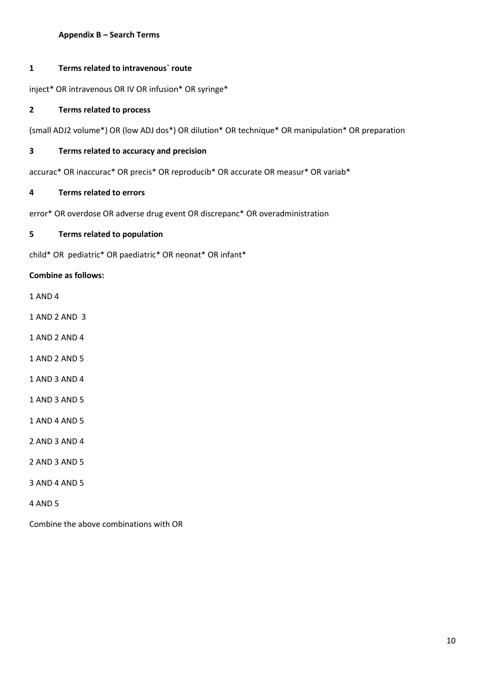#### **Appendix B – Search Terms**

#### **1 Terms related to intravenous` route**

inject\* OR intravenous OR IV OR infusion\* OR syringe\*

#### **2 Terms related to process**

(small ADJ2 volume\*) OR (low ADJ dos\*) OR dilution\* OR technique\* OR manipulation\* OR preparation

#### **3 Terms related to accuracy and precision**

accurac\* OR inaccurac\* OR precis\* OR reproducib\* OR accurate OR measur\* OR variab\*

#### **4 Terms related to errors**

error\* OR overdose OR adverse drug event OR discrepanc\* OR overadministration

#### **5 Terms related to population**

child\* OR pediatric\* OR paediatric\* OR neonat\* OR infant\*

### **Combine as follows:**

- 1 AND 4
- 1 AND 2 AND 3
- 1 AND 2 AND 4
- 1 AND 2 AND 5
- 1 AND 3 AND 4
- 1 AND 3 AND 5
- 1 AND 4 AND 5
- 2 AND 3 AND 4
- 2 AND 3 AND 5
- 3 AND 4 AND 5
- 4 AND 5

Combine the above combinations with OR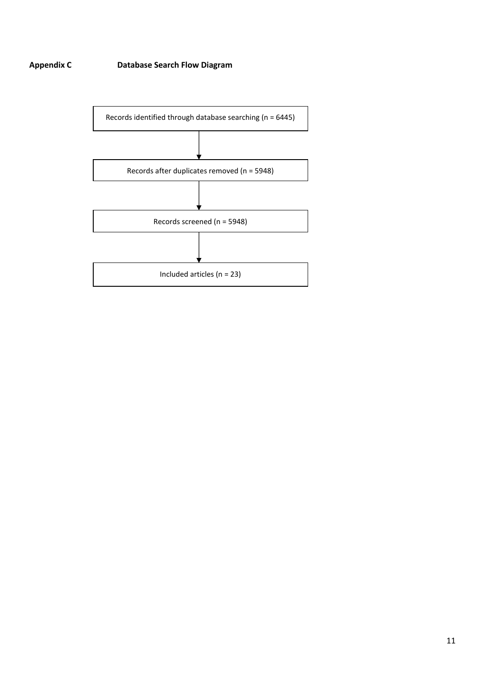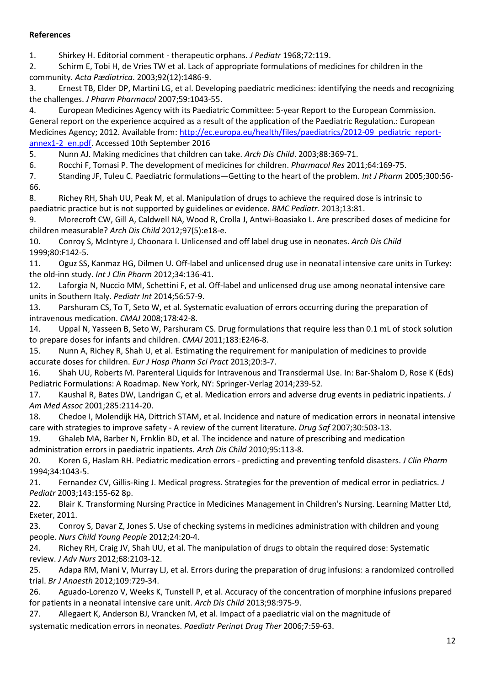#### **References**

1. Shirkey H. Editorial comment - therapeutic orphans. *J Pediatr* 1968;72:119.

2. Schirm E, Tobi H, de Vries TW et al. Lack of appropriate formulations of medicines for children in the community. *Acta Pædiatrica*. 2003;92(12):1486-9.

3. Ernest TB, Elder DP, Martini LG, et al. Developing paediatric medicines: identifying the needs and recognizing the challenges. *J Pharm Pharmacol* 2007;59:1043-55.

4. European Medicines Agency with its Paediatric Committee: 5-year Report to the European Commission. General report on the experience acquired as a result of the application of the Paediatric Regulation.: European Medicines Agency; 2012. Available from: [http://ec.europa.eu/health/files/paediatrics/2012-09\\_pediatric\\_report](http://ec.europa.eu/health/files/paediatrics/2012-09_pediatric_report-annex1-2_en.pdf)[annex1-2\\_en.pdf.](http://ec.europa.eu/health/files/paediatrics/2012-09_pediatric_report-annex1-2_en.pdf) Accessed 10th September 2016

5. Nunn AJ. Making medicines that children can take. *Arch Dis Child*. 2003;88:369-71.

6. Rocchi F, Tomasi P. The development of medicines for children. *Pharmacol Res* 2011;64:169-75.

7. Standing JF, Tuleu C. Paediatric formulations—Getting to the heart of the problem. *Int J Pharm* 2005;300:56- 66.

8. Richey RH, Shah UU, Peak M, et al. Manipulation of drugs to achieve the required dose is intrinsic to paediatric practice but is not supported by guidelines or evidence. *BMC Pediatr.* 2013;13:81.

9. Morecroft CW, Gill A, Caldwell NA, Wood R, Crolla J, Antwi-Boasiako L. Are prescribed doses of medicine for children measurable? *Arch Dis Child* 2012;97(5):e18-e.

10. Conroy S, McIntyre J, Choonara I. Unlicensed and off label drug use in neonates. *Arch Dis Child*  1999;80:F142-5.

11. Oguz SS, Kanmaz HG, Dilmen U. Off-label and unlicensed drug use in neonatal intensive care units in Turkey: the old-inn study. *Int J Clin Pharm* 2012;34:136-41.

12. Laforgia N, Nuccio MM, Schettini F, et al. Off-label and unlicensed drug use among neonatal intensive care units in Southern Italy. *Pediatr Int* 2014;56:57-9.

13. Parshuram CS, To T, Seto W, et al. Systematic evaluation of errors occurring during the preparation of intravenous medication. *CMAJ* 2008;178:42-8.

14. Uppal N, Yasseen B, Seto W, Parshuram CS. Drug formulations that require less than 0.1 mL of stock solution to prepare doses for infants and children. *CMAJ* 2011;183:E246-8.

15. Nunn A, Richey R, Shah U, et al. Estimating the requirement for manipulation of medicines to provide accurate doses for children. *Eur J Hosp Pharm Sci Pract* 2013;20:3-7.

16. Shah UU, Roberts M. Parenteral Liquids for Intravenous and Transdermal Use. In: Bar-Shalom D, Rose K (Eds) Pediatric Formulations: A Roadmap. New York, NY: Springer-Verlag 2014;239-52.

17. Kaushal R, Bates DW, Landrigan C, et al. Medication errors and adverse drug events in pediatric inpatients. *J Am Med Assoc* 2001;285:2114-20.

18. Chedoe I, Molendijk HA, Dittrich STAM, et al. Incidence and nature of medication errors in neonatal intensive care with strategies to improve safety - A review of the current literature. *Drug Saf* 2007;30:503-13.

19. Ghaleb MA, Barber N, Frnklin BD, et al. The incidence and nature of prescribing and medication administration errors in paediatric inpatients. *Arch Dis Child* 2010;95:113-8.

20. Koren G, Haslam RH. Pediatric medication errors - predicting and preventing tenfold disasters. *J Clin Pharm* 1994;34:1043-5.

21. Fernandez CV, Gillis-Ring J. Medical progress. Strategies for the prevention of medical error in pediatrics. *J Pediatr* 2003;143:155-62 8p.

22. Blair K. Transforming Nursing Practice in Medicines Management in Children's Nursing. Learning Matter Ltd, Exeter, 2011.

23. Conroy S, Davar Z, Jones S. Use of checking systems in medicines administration with children and young people. *Nurs Child Young People* 2012;24:20-4.

24. Richey RH, Craig JV, Shah UU, et al. The manipulation of drugs to obtain the required dose: Systematic review. *J Adv Nurs* 2012;68:2103-12.

25. Adapa RM, Mani V, Murray LJ, et al. Errors during the preparation of drug infusions: a randomized controlled trial. *Br J Anaesth* 2012;109:729-34.

26. Aguado-Lorenzo V, Weeks K, Tunstell P, et al. Accuracy of the concentration of morphine infusions prepared for patients in a neonatal intensive care unit. *Arch Dis Child* 2013;98:975-9.

27. Allegaert K, Anderson BJ, Vrancken M, et al. Impact of a paediatric vial on the magnitude of

systematic medication errors in neonates. *Paediatr Perinat Drug Ther* 2006;7:59-63.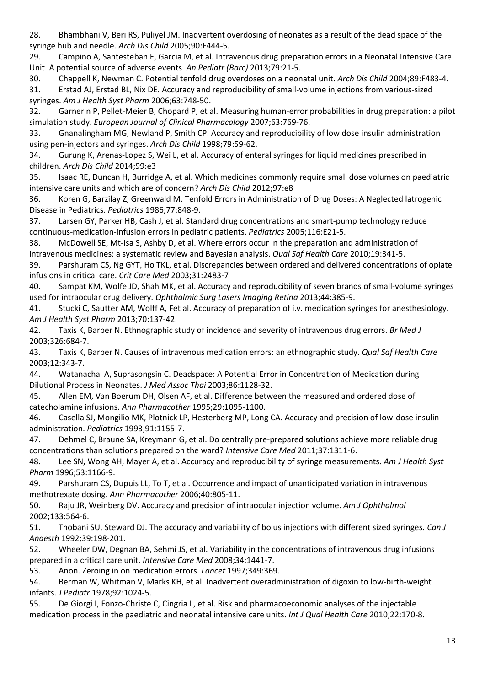28. Bhambhani V, Beri RS, Puliyel JM. Inadvertent overdosing of neonates as a result of the dead space of the syringe hub and needle. *Arch Dis Child* 2005;90:F444-5.

29. Campino A, Santesteban E, Garcia M, et al. Intravenous drug preparation errors in a Neonatal Intensive Care Unit. A potential source of adverse events. *An Pediatr (Barc)* 2013;79:21-5.

30. Chappell K, Newman C. Potential tenfold drug overdoses on a neonatal unit. *Arch Dis Child* 2004;89:F483-4.

31. Erstad AJ, Erstad BL, Nix DE. Accuracy and reproducibility of small-volume injections from various-sized syringes. *Am J Health Syst Pharm* 2006;63:748-50.

32. Garnerin P, Pellet-Meier B, Chopard P, et al. Measuring human-error probabilities in drug preparation: a pilot simulation study. *European Journal of Clinical Pharmacology* 2007;63:769-76.

33. Gnanalingham MG, Newland P, Smith CP. Accuracy and reproducibility of low dose insulin administration using pen-injectors and syringes. *Arch Dis Child* 1998;79:59-62.

34. Gurung K, Arenas-Lopez S, Wei L, et al. Accuracy of enteral syringes for liquid medicines prescribed in children. *Arch Dis Child* 2014;99:e3

35. Isaac RE, Duncan H, Burridge A, et al. Which medicines commonly require small dose volumes on paediatric intensive care units and which are of concern? *Arch Dis Child* 2012;97:e8

36. Koren G, Barzilay Z, Greenwald M. Tenfold Errors in Administration of Drug Doses: A Neglected latrogenic Disease in Pediatrics. *Pediatrics* 1986;77:848-9.

37. Larsen GY, Parker HB, Cash J, et al. Standard drug concentrations and smart-pump technology reduce continuous-medication-infusion errors in pediatric patients. *Pediatrics* 2005;116:E21-5.

38. McDowell SE, Mt-Isa S, Ashby D, et al. Where errors occur in the preparation and administration of intravenous medicines: a systematic review and Bayesian analysis. *Qual Saf Health Care* 2010;19:341-5.

39. Parshuram CS, Ng GYT, Ho TKL, et al. Discrepancies between ordered and delivered concentrations of opiate infusions in critical care. *Crit Care Med* 2003;31:2483-7

40. Sampat KM, Wolfe JD, Shah MK, et al. Accuracy and reproducibility of seven brands of small-volume syringes used for intraocular drug delivery. *Ophthalmic Surg Lasers Imaging Retina* 2013;44:385-9.

41. Stucki C, Sautter AM, Wolff A, Fet al. Accuracy of preparation of i.v. medication syringes for anesthesiology. *Am J Health Syst Pharm* 2013;70:137-42.

42. Taxis K, Barber N. Ethnographic study of incidence and severity of intravenous drug errors. *Br Med J* 2003;326:684-7.

43. Taxis K, Barber N. Causes of intravenous medication errors: an ethnographic study. *Qual Saf Health Care* 2003;12:343-7.

44. Watanachai A, Suprasongsin C. Deadspace: A Potential Error in Concentration of Medication during Dilutional Process in Neonates. *J Med Assoc Thai* 2003;86:1128-32.

45. Allen EM, Van Boerum DH, Olsen AF, et al. Difference between the measured and ordered dose of catecholamine infusions. *Ann Pharmacother* 1995;29:1095-1100.

46. Casella SJ, Mongilio MK, Plotnick LP, Hesterberg MP, Long CA. Accuracy and precision of low-dose insulin administration. *Pediatrics* 1993;91:1155-7.

47. Dehmel C, Braune SA, Kreymann G, et al. Do centrally pre-prepared solutions achieve more reliable drug concentrations than solutions prepared on the ward? *Intensive Care Med* 2011;37:1311-6.

48. Lee SN, Wong AH, Mayer A, et al. Accuracy and reproducibility of syringe measurements. *Am J Health Syst Pharm* 1996;53:1166-9.

49. Parshuram CS, Dupuis LL, To T, et al. Occurrence and impact of unanticipated variation in intravenous methotrexate dosing. *Ann Pharmacother* 2006;40:805-11.

50. Raju JR, Weinberg DV. Accuracy and precision of intraocular injection volume. *Am J Ophthalmol* 2002;133:564-6.

51. Thobani SU, Steward DJ. The accuracy and variability of bolus injections with different sized syringes. *Can J Anaesth* 1992;39:198-201.

52. Wheeler DW, Degnan BA, Sehmi JS, et al. Variability in the concentrations of intravenous drug infusions prepared in a critical care unit. *Intensive Care Med* 2008;34:1441-7.

53. Anon. Zeroing in on medication errors. *Lancet* 1997;349:369.

54. Berman W, Whitman V, Marks KH, et al. Inadvertent overadministration of digoxin to low-birth-weight infants. *J Pediatr* 1978;92:1024-5.

55. De Giorgi I, Fonzo-Christe C, Cingria L, et al. Risk and pharmacoeconomic analyses of the injectable medication process in the paediatric and neonatal intensive care units. *Int J Qual Health Care* 2010;22:170-8.